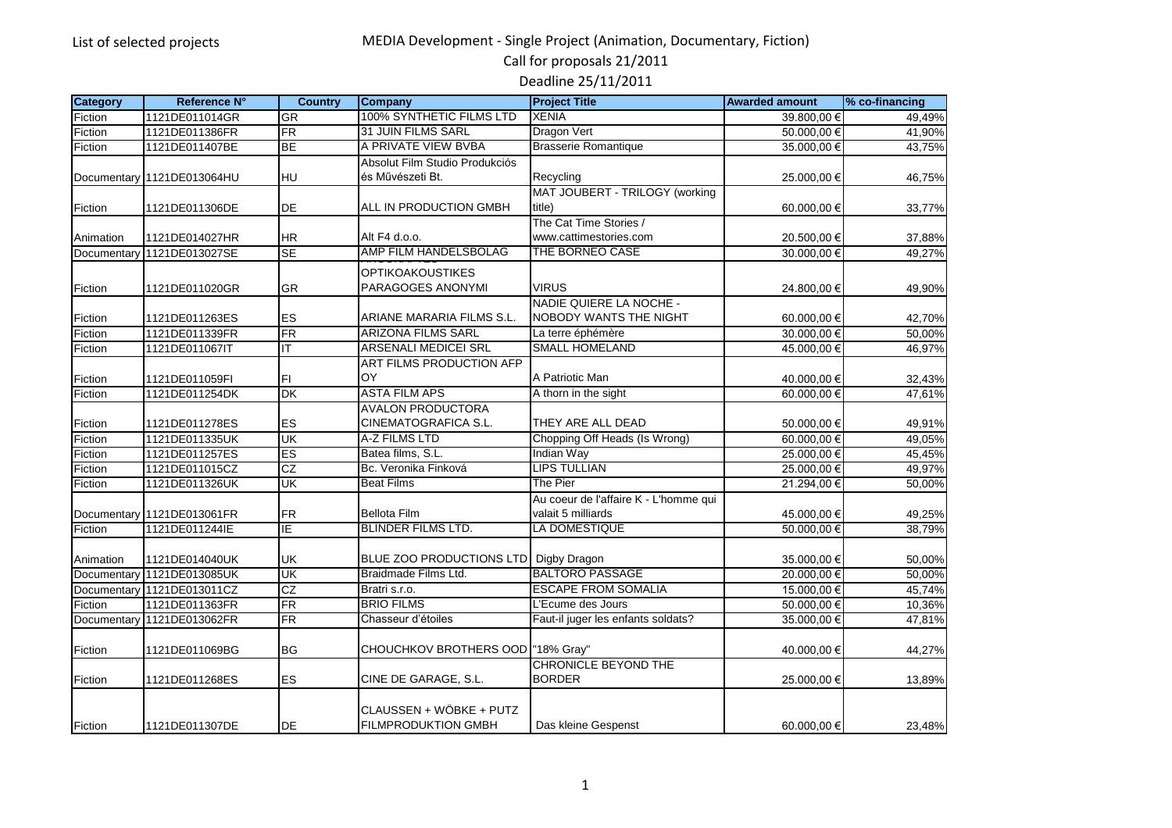Call for proposals 21/2011

| <b>Category</b> | Reference N°               | <b>Country</b>             | Company                                 | <b>Project Title</b>                  | <b>Awarded amount</b>    | % co-financing |
|-----------------|----------------------------|----------------------------|-----------------------------------------|---------------------------------------|--------------------------|----------------|
| Fiction         | 1121DE011014GR             | GR                         | 100% SYNTHETIC FILMS LTD                | <b>XENIA</b>                          | 39.800.00 €              | 49.49%         |
| Fiction         | 1121DE011386FR             | $\overline{FR}$            | <b>31 JUIN FILMS SARL</b>               | Dragon Vert                           | 50.000.00 €              | 41,90%         |
| Fiction         | 1121DE011407BE             | BE                         | A PRIVATE VIEW BVBA                     | <b>Brasserie Romantique</b>           | 35.000,00 €              | 43,75%         |
|                 |                            |                            | Absolut Film Studio Produkciós          |                                       |                          |                |
|                 | Documentary 1121DE013064HU | HU                         | és Művészeti Bt.                        | Recycling                             | 25.000,00 €              | 46,75%         |
|                 |                            |                            |                                         | MAT JOUBERT - TRILOGY (working        |                          |                |
| Fiction         | 1121DE011306DE             | DE                         | ALL IN PRODUCTION GMBH                  | title)                                | 60.000,00 €              | 33,77%         |
|                 |                            |                            |                                         | The Cat Time Stories /                |                          |                |
| Animation       | 1121DE014027HR             | <b>HR</b>                  | Alt F4 d.o.o.                           | www.cattimestories.com                | 20.500,00 €              | 37,88%         |
| Documentary     | 1121DE013027SE             | $\overline{\text{SE}}$     | AMP FILM HANDELSBOLAG                   | THE BORNEO CASE                       | 30.000,00 €              | 49,27%         |
|                 |                            |                            | <b>OPTIKOAKOUSTIKES</b>                 |                                       |                          |                |
| Fiction         | 1121DE011020GR             | GR                         | PARAGOGES ANONYMI                       | <b>VIRUS</b>                          | 24.800,00 €              | 49,90%         |
|                 |                            |                            |                                         | NADIE QUIERE LA NOCHE -               |                          |                |
| Fiction         | 1121DE011263ES             | ES                         | ARIANE MARARIA FILMS S.L.               | <b>NOBODY WANTS THE NIGHT</b>         | 60.000,00 €              | 42,70%         |
| Fiction         | 1121DE011339FR             | FR                         | <b>ARIZONA FILMS SARL</b>               | La terre éphémère                     | 30.000,00 €              | 50,00%         |
| Fiction         | 1121DE011067IT             | IT                         | <b>ARSENALI MEDICEI SRL</b>             | <b>SMALL HOMELAND</b>                 | 45.000,00 €              | 46,97%         |
|                 |                            |                            | ART FILMS PRODUCTION AFP                |                                       |                          |                |
| Fiction         | 1121DE011059FI             | FI                         | OY                                      | A Patriotic Man                       | 40.000.00 €              | 32,43%         |
| Fiction         | 1121DE011254DK             | DK                         | <b>ASTA FILM APS</b>                    | A thorn in the sight                  | 60.000,00 €              | 47,61%         |
|                 |                            |                            | <b>AVALON PRODUCTORA</b>                |                                       |                          |                |
| Fiction         | 1121DE011278ES             | ES                         | CINEMATOGRAFICA S.L.                    | THEY ARE ALL DEAD                     | 50.000,00 €              | 49,91%         |
| Fiction         | 1121DE011335UK             | UK                         | A-Z FILMS LTD                           | Chopping Off Heads (Is Wrong)         | 60.000,00 €              | 49,05%         |
| Fiction         | 1121DE011257ES             | ES                         | Batea films, S.L.                       | <b>Indian Way</b>                     | 25.000,00 €              | 45,45%         |
| Fiction         | 1121DE011015CZ             | CZ                         | Bc. Veronika Finková                    | <b>LIPS TULLIAN</b>                   | 25.000,00 €              | 49,97%         |
| Fiction         | 1121DE011326UK             | UK                         | <b>Beat Films</b>                       | The Pier                              | 21.294,00 €              | 50,00%         |
|                 |                            |                            |                                         | Au coeur de l'affaire K - L'homme qui |                          |                |
|                 | Documentary 1121DE013061FR | <b>FR</b>                  | <b>Bellota Film</b>                     | valait 5 milliards                    | 45.000,00 €              | 49,25%         |
| Fiction         | 1121DE011244IE             | ΙE                         | <b>BLINDER FILMS LTD.</b>               | LA DOMESTIQUE                         | $\overline{50.000,00}$ € | 38,79%         |
|                 |                            |                            |                                         |                                       |                          |                |
| Animation       | 1121DE014040UK             | <b>UK</b>                  | BLUE ZOO PRODUCTIONS LTD   Digby Dragon |                                       | 35.000,00 €              | 50,00%         |
|                 | Documentary 1121DE013085UK | $\overline{\mathsf{CK}}$   | Braidmade Films Ltd.                    | <b>BALTORO PASSAGE</b>                | 20.000.00 €              | 50,00%         |
|                 | Documentary 1121DE013011CZ | $\overline{c}\overline{z}$ | Bratri s.r.o.                           | <b>ESCAPE FROM SOMALIA</b>            | 15.000,00 €              | 45,74%         |
| Fiction         | 1121DE011363FR             | FR                         | <b>BRIO FILMS</b>                       | L'Ecume des Jours                     | 50.000,00 €              | 10,36%         |
|                 | Documentary 1121DE013062FR | FR                         | Chasseur d'étoiles                      | Faut-il juger les enfants soldats?    | 35.000,00 €              | 47,81%         |
|                 |                            |                            |                                         |                                       |                          |                |
| Fiction         | 1121DE011069BG             | BG                         | CHOUCHKOV BROTHERS OOD   "18% Gray"     |                                       | 40.000,00 €              | 44,27%         |
|                 |                            |                            |                                         | CHRONICLE BEYOND THE                  |                          |                |
| Fiction         | 1121DE011268ES             | ES                         | CINE DE GARAGE, S.L.                    | <b>BORDER</b>                         | 25.000,00 €              | 13,89%         |
|                 |                            |                            |                                         |                                       |                          |                |
|                 |                            |                            | CLAUSSEN + WÖBKE + PUTZ                 |                                       |                          |                |
| <b>IFiction</b> | 1121DE011307DE             | DE                         | <b>FILMPRODUKTION GMBH</b>              | Das kleine Gespenst                   | 60.000,00 €              | 23,48%         |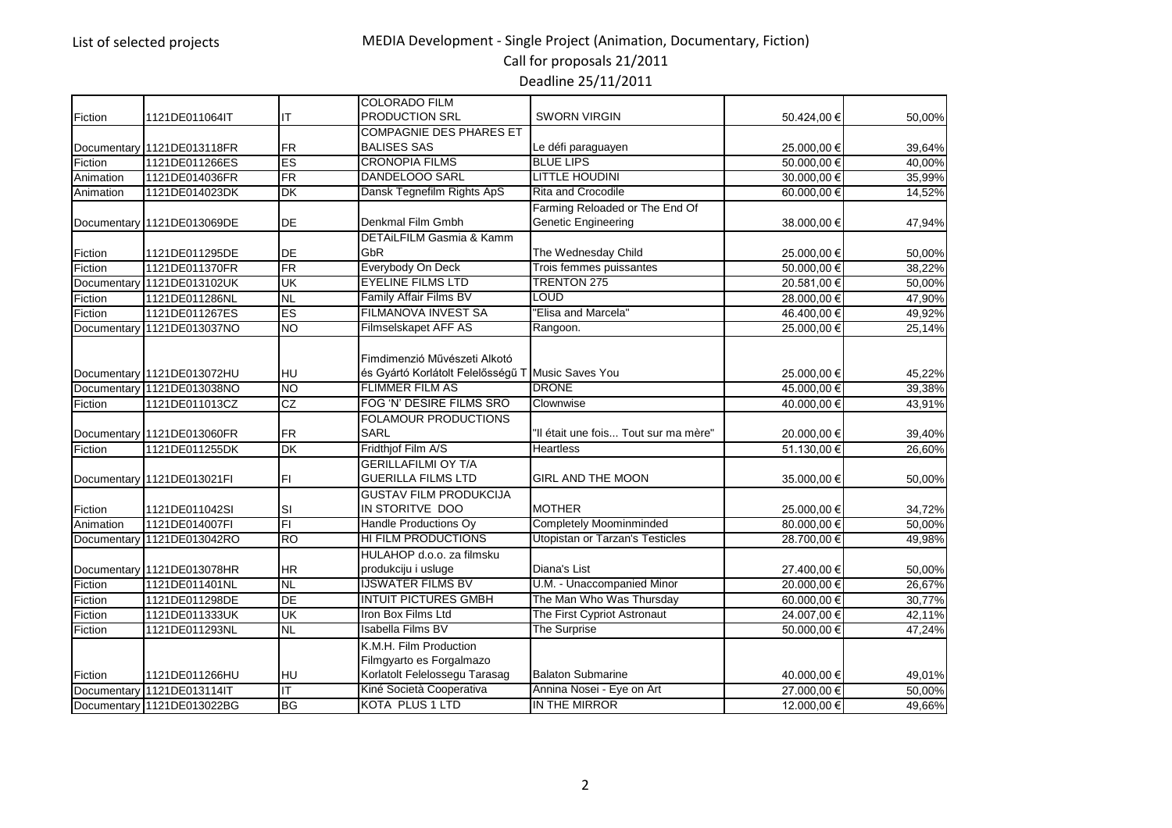Call for proposals 21/2011

|             |                            |                        | <b>COLORADO FILM</b>                              |                                        |             |        |
|-------------|----------------------------|------------------------|---------------------------------------------------|----------------------------------------|-------------|--------|
| Fiction     | 1121DE011064IT             | IT                     | PRODUCTION SRL                                    | <b>SWORN VIRGIN</b>                    | 50.424,00 € | 50,00% |
|             |                            |                        | <b>COMPAGNIE DES PHARES ET</b>                    |                                        |             |        |
|             | Documentary 1121DE013118FR | <b>FR</b>              | <b>BALISES SAS</b>                                | Le défi paraguayen                     | 25.000,00 € | 39,64% |
| Fiction     | 1121DE011266ES             | ES                     | <b>CRONOPIA FILMS</b>                             | <b>BLUE LIPS</b>                       | 50.000.00 € | 40.00% |
| Animation   | 1121DE014036FR             | $\overline{\text{FR}}$ | <b>DANDELOOO SARL</b>                             | <b>LITTLE HOUDINI</b>                  | 30.000,00 € | 35,99% |
| Animation   | 1121DE014023DK             | <b>DK</b>              | Dansk Tegnefilm Rights ApS                        | <b>Rita and Crocodile</b>              | 60.000.00 € | 14,52% |
|             |                            |                        |                                                   | Farming Reloaded or The End Of         |             |        |
|             | Documentary 1121DE013069DE | DE                     | Denkmal Film Gmbh                                 | Genetic Engineering                    | 38.000,00 € | 47,94% |
|             |                            |                        | DETAiLFILM Gasmia & Kamm                          |                                        |             |        |
| Fiction     | 1121DE011295DE             | DE                     | GbR                                               | The Wednesday Child                    | 25.000,00 € | 50,00% |
| Fiction     | 1121DE011370FR             | $\overline{\text{FR}}$ | Everybody On Deck                                 | Trois femmes puissantes                | 50.000,00€  | 38,22% |
|             | Documentary 1121DE013102UK | UK                     | <b>EYELINE FILMS LTD</b>                          | <b>TRENTON 275</b>                     | 20.581,00 € | 50,00% |
| Fiction     | 1121DE011286NL             | <b>NL</b>              | Family Affair Films BV                            | <b>LOUD</b>                            | 28.000,00 € | 47,90% |
| Fiction     | 1121DE011267ES             | ES                     | <b>FILMANOVA INVEST SA</b>                        | "Elisa and Marcela"                    | 46.400,00 € | 49,92% |
| Documentary | 1121DE013037NO             | $\overline{NO}$        | Filmselskapet AFF AS                              | Rangoon.                               | 25.000,00 € | 25,14% |
|             |                            |                        |                                                   |                                        |             |        |
|             |                            |                        | Fimdimenzió Művészeti Alkotó                      |                                        |             |        |
|             | Documentary 1121DE013072HU | HU                     | és Gyártó Korlátolt Felelősségű T Music Saves You |                                        | 25.000,00 € | 45,22% |
|             | Documentary 1121DE013038NO | <b>NO</b>              | <b>FLIMMER FILM AS</b>                            | <b>DRONE</b>                           | 45.000.00 € | 39,38% |
| Fiction     | 1121DE011013CZ             | CZ                     | FOG 'N' DESIRE FILMS SRO                          | Clownwise                              | 40.000,00 € | 43,91% |
|             |                            |                        | <b>FOLAMOUR PRODUCTIONS</b>                       |                                        |             |        |
|             | Documentary 1121DE013060FR | <b>FR</b>              | <b>SARL</b>                                       | "Il était une fois Tout sur ma mère"   | 20.000,00 € | 39,40% |
| Fiction     | 1121DE011255DK             | DK                     | Fridthjof Film A/S                                | <b>Heartless</b>                       | 51.130,00 € | 26,60% |
|             |                            |                        | <b>GERILLAFILMI OY T/A</b>                        |                                        |             |        |
|             | Documentary 1121DE013021FI | FI                     | <b>GUERILLA FILMS LTD</b>                         | <b>GIRL AND THE MOON</b>               | 35.000,00 € | 50,00% |
|             |                            |                        | <b>GUSTAV FILM PRODUKCIJA</b>                     |                                        |             |        |
| Fiction     | 1121DE011042SI             | <b>SI</b>              | IN STORITVE DOO                                   | <b>MOTHER</b>                          | 25.000,00 € | 34,72% |
| Animation   | 1121DE014007FI             | $\overline{F}$         | Handle Productions Ov                             | <b>Completely Moominminded</b>         | 80.000,00€  | 50.00% |
|             | Documentary 1121DE013042RO | <b>RO</b>              | <b>HI FILM PRODUCTIONS</b>                        | <b>Utopistan or Tarzan's Testicles</b> | 28.700,00 € | 49,98% |
|             |                            |                        | HULAHOP d.o.o. za filmsku                         |                                        |             |        |
|             | Documentary 1121DE013078HR | <b>HR</b>              | produkciju i usluge                               | Diana's List                           | 27.400,00 € | 50,00% |
| Fiction     | 1121DE011401NL             | <b>NL</b>              | <b>IJSWATER FILMS BV</b>                          | U.M. - Unaccompanied Minor             | 20.000.00 € | 26,67% |
| Fiction     | 1121DE011298DE             | $\overline{DE}$        | <b>INTUIT PICTURES GMBH</b>                       | The Man Who Was Thursday               | 60.000,00 € | 30,77% |
| Fiction     | 1121DE011333UK             | UK                     | Iron Box Films Ltd                                | The First Cypriot Astronaut            | 24.007,00 € | 42,11% |
| Fiction     | 1121DE011293NL             | <b>NL</b>              | <b>Isabella Films BV</b>                          | <b>The Surprise</b>                    | 50.000,00€  | 47,24% |
|             |                            |                        | K.M.H. Film Production                            |                                        |             |        |
|             |                            |                        | Filmgyarto es Forgalmazo                          |                                        |             |        |
| Fiction     | 1121DE011266HU             | HU                     | Korlatolt Felelossegu Tarasag                     | <b>Balaton Submarine</b>               | 40.000,00 € | 49,01% |
|             | Documentary 1121DE013114IT | ΙT                     | Kiné Società Cooperativa                          | Annina Nosei - Eye on Art              | 27.000,00 € | 50,00% |
|             | Documentary 1121DE013022BG | <b>BG</b>              | <b>KOTA PLUS 1 LTD</b>                            | IN THE MIRROR                          | 12.000,00 € | 49,66% |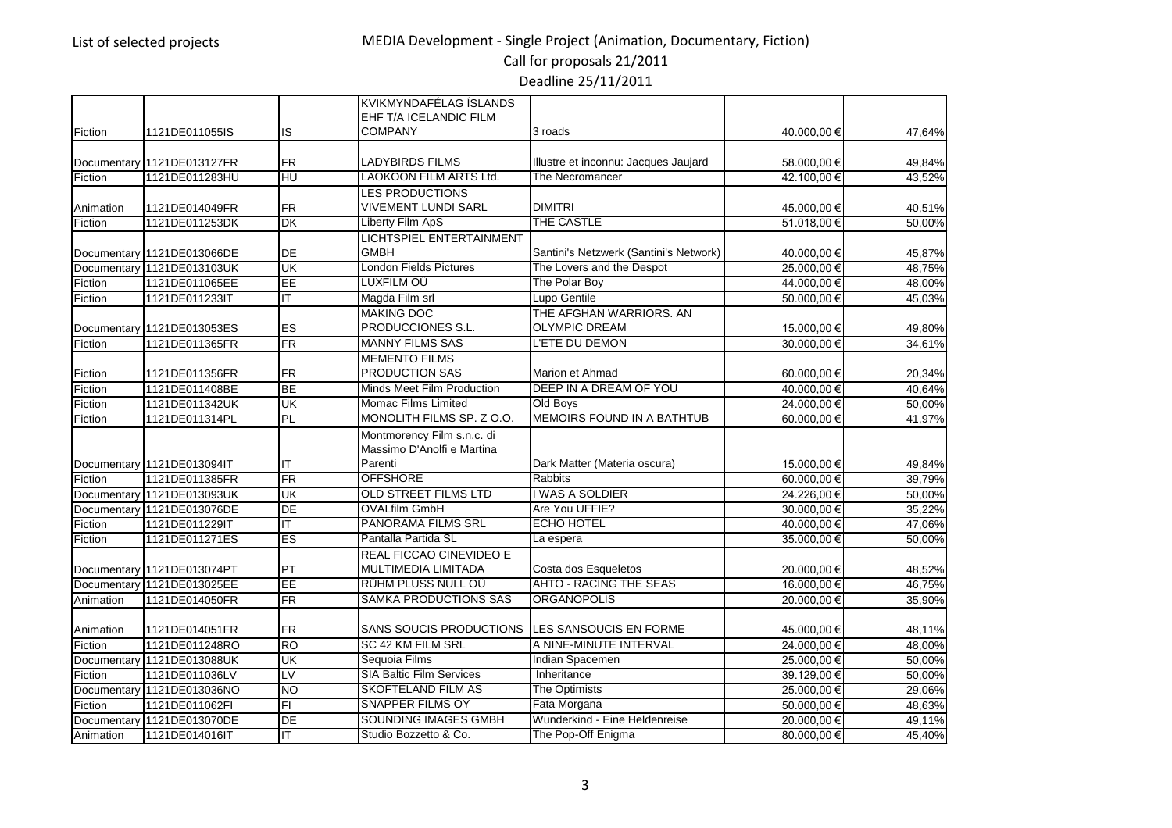Call for proposals 21/2011

|             |                            |           | KVIKMYNDAFÉLAG ÍSLANDS          |                                        |             |        |
|-------------|----------------------------|-----------|---------------------------------|----------------------------------------|-------------|--------|
|             |                            |           | EHF T/A ICELANDIC FILM          | 3 roads                                |             |        |
| Fiction     | 1121DE011055IS             | <b>IS</b> | <b>COMPANY</b>                  |                                        | 40.000,00 € | 47,64% |
| Documentary | 1121DE013127FR             | <b>FR</b> | LADYBIRDS FILMS                 | Illustre et inconnu: Jacques Jaujard   | 58.000,00 € | 49,84% |
| Fiction     | 1121DE011283HU             | HU        | <b>LAOKOON FILM ARTS Ltd.</b>   | The Necromancer                        | 42.100,00 € | 43,52% |
|             |                            |           | <b>LES PRODUCTIONS</b>          |                                        |             |        |
| Animation   | 1121DE014049FR             | FR        | <b>VIVEMENT LUNDI SARL</b>      | <b>DIMITRI</b>                         | 45.000,00 € | 40,51% |
| Fiction     | 1121DE011253DK             | <b>DK</b> | Liberty Film ApS                | THE CASTLE                             | 51.018,00 € | 50,00% |
|             |                            |           | LICHTSPIEL ENTERTAINMENT        |                                        |             |        |
|             | Documentary 1121DE013066DE | DE        | <b>GMBH</b>                     | Santini's Netzwerk (Santini's Network) | 40.000,00 € | 45,87% |
|             | Documentary 1121DE013103UK | UK        | <b>London Fields Pictures</b>   | The Lovers and the Despot              | 25.000,00 € | 48,75% |
| Fiction     | 1121DE011065EE             | EE        | LUXFILM OÜ                      | The Polar Boy                          | 44.000,00 € | 48,00% |
| Fiction     | 1121DE011233IT             | IT        | Magda Film srl                  | Lupo Gentile                           | 50.000,00 € | 45,03% |
|             |                            |           | <b>MAKING DOC</b>               | THE AFGHAN WARRIORS, AN                |             |        |
|             | Documentary 1121DE013053ES | <b>ES</b> | PRODUCCIONES S.L.               | <b>OLYMPIC DREAM</b>                   | 15.000,00 € | 49,80% |
| Fiction     | 1121DE011365FR             | <b>FR</b> | <b>MANNY FILMS SAS</b>          | L'ETE DU DEMON                         | 30.000,00 € | 34.61% |
|             |                            |           | <b>MEMENTO FILMS</b>            |                                        |             |        |
| Fiction     | 1121DE011356FR             | FR        | PRODUCTION SAS                  | Marion et Ahmad                        | 60.000,00 € | 20,34% |
| Fiction     | 1121DE011408BE             | <b>BE</b> | Minds Meet Film Production      | DEEP IN A DREAM OF YOU                 | 40.000,00 € | 40,64% |
| Fiction     | 1121DE011342UK             | UK        | Momac Films Limited             | Old Boys                               | 24.000,00 € | 50,00% |
| Fiction     | 1121DE011314PL             | <b>PL</b> | MONOLITH FILMS SP. Z O.O.       | <b>MEMOIRS FOUND IN A BATHTUB</b>      | 60.000,00 € | 41,97% |
|             |                            |           | Montmorency Film s.n.c. di      |                                        |             |        |
|             |                            |           | Massimo D'Anolfi e Martina      |                                        |             |        |
|             | Documentary 1121DE013094IT | IT        | Parenti                         | Dark Matter (Materia oscura)           | 15.000,00 € | 49,84% |
| Fiction     | 1121DE011385FR             | FR        | <b>OFFSHORE</b>                 | <b>Rabbits</b>                         | 60.000.00 € | 39,79% |
|             | Documentary 1121DE013093UK | <b>UK</b> | <b>OLD STREET FILMS LTD</b>     | I WAS A SOLDIER                        | 24.226,00 € | 50,00% |
|             | Documentary 1121DE013076DE | DE        | <b>OVALfilm GmbH</b>            | Are You UFFIE?                         | 30.000,00 € | 35,22% |
| Fiction     | 1121DE011229IT             | IT        | <b>PANORAMA FILMS SRL</b>       | <b>ECHO HOTEL</b>                      | 40.000,00 € | 47,06% |
| Fiction     | 1121DE011271ES             | ES        | Pantalla Partida SL             | La espera                              | 35.000,00 € | 50,00% |
|             |                            |           | REAL FICCAO CINEVIDEO E         |                                        |             |        |
|             | Documentary 1121DE013074PT | PT        | MULTIMEDIA LIMITADA             | Costa dos Esqueletos                   | 20.000,00 € | 48,52% |
|             | Documentary 1121DE013025EE | EE        | RÜHM PLUSS NULL OÜ              | <b>AHTO - RACING THE SEAS</b>          | 16.000,00 € | 46.75% |
| Animation   | 1121DE014050FR             | FR        | <b>SAMKA PRODUCTIONS SAS</b>    | ORGANOPOLIS                            | 20.000,00 € | 35,90% |
|             |                            |           |                                 |                                        |             |        |
| Animation   | 1121DE014051FR             | <b>FR</b> | SANS SOUCIS PRODUCTIONS         | LES SANSOUCIS EN FORME                 | 45.000,00 € | 48,11% |
| Fiction     | 1121DE011248RO             | <b>RO</b> | SC 42 KM FILM SRL               | A NINE-MINUTE INTERVAL                 | 24.000,00€  | 48,00% |
| Documentary | 1121DE013088UK             | UK        | Sequoia Films                   | Indian Spacemen                        | 25.000,00 € | 50,00% |
| Fiction     | 1121DE011036LV             | LV        | <b>SIA Baltic Film Services</b> | Inheritance                            | 39.129,00 € | 50,00% |
|             | Documentary 1121DE013036NO | <b>NO</b> | <b>SKOFTELAND FILM AS</b>       | The Optimists                          | 25.000,00 € | 29,06% |
| Fiction     | 1121DE011062FI             | F1        | <b>SNAPPER FILMS OY</b>         | Fata Morgana                           | 50.000,00 € | 48,63% |
| Documentary | 1121DE013070DE             | DE        | SOUNDING IMAGES GMBH            | Wunderkind - Eine Heldenreise          | 20.000,00 € | 49,11% |
| Animation   | 1121DE014016IT             | ΙT        | Studio Bozzetto & Co.           | The Pop-Off Enigma                     | 80.000,00 € | 45,40% |